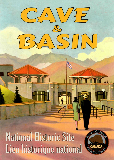

**National Historic Site** Lieu historique national